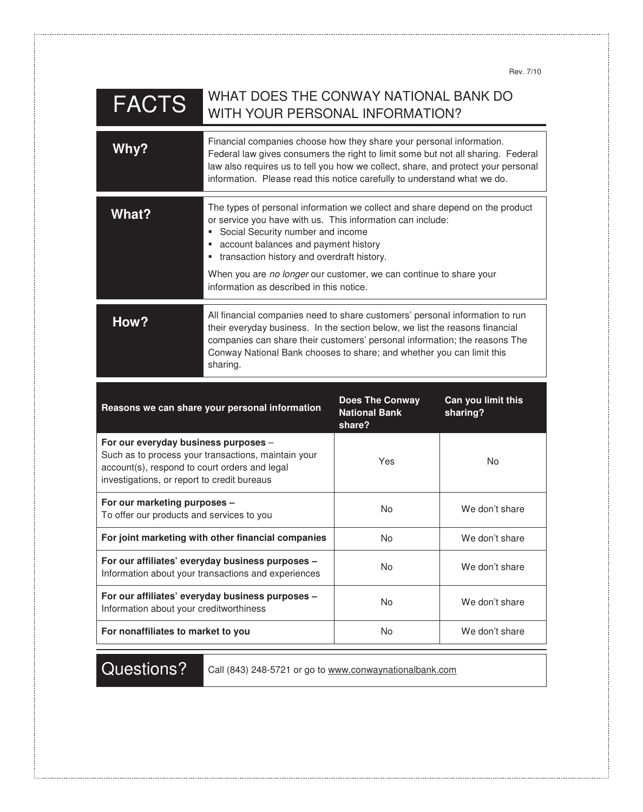Rev. 7/10

| <b>FACTS</b>                                                                                                                                                                                | WHAT DOES THE CONWAY NATIONAL BANK DO<br>WITH YOUR PERSONAL INFORMATION?                                                                                                                                                                                                                                                                                                                               |                                                          |                                |
|---------------------------------------------------------------------------------------------------------------------------------------------------------------------------------------------|--------------------------------------------------------------------------------------------------------------------------------------------------------------------------------------------------------------------------------------------------------------------------------------------------------------------------------------------------------------------------------------------------------|----------------------------------------------------------|--------------------------------|
| Why?                                                                                                                                                                                        | Financial companies choose how they share your personal information.<br>Federal law gives consumers the right to limit some but not all sharing. Federal<br>law also requires us to tell you how we collect, share, and protect your personal<br>information. Please read this notice carefully to understand what we do.                                                                              |                                                          |                                |
| What?                                                                                                                                                                                       | The types of personal information we collect and share depend on the product<br>or service you have with us. This information can include:<br>Social Security number and income<br>ш<br>account balances and payment history<br>ш<br>transaction history and overdraft history.<br>ш<br>When you are no longer our customer, we can continue to share your<br>information as described in this notice. |                                                          |                                |
| How?                                                                                                                                                                                        | All financial companies need to share customers' personal information to run<br>their everyday business. In the section below, we list the reasons financial<br>companies can share their customers' personal information; the reasons The<br>Conway National Bank chooses to share; and whether you can limit this<br>sharing.                                                                        |                                                          |                                |
|                                                                                                                                                                                             | Reasons we can share your personal information                                                                                                                                                                                                                                                                                                                                                         | <b>Does The Conway</b><br><b>National Bank</b><br>share? | Can you limit this<br>sharing? |
| For our everyday business purposes -<br>Such as to process your transactions, maintain your<br>account(s), respond to court orders and legal<br>investigations, or report to credit bureaus |                                                                                                                                                                                                                                                                                                                                                                                                        |                                                          |                                |
|                                                                                                                                                                                             |                                                                                                                                                                                                                                                                                                                                                                                                        | Yes                                                      | No                             |
| For our marketing purposes -<br>To offer our products and services to you                                                                                                                   |                                                                                                                                                                                                                                                                                                                                                                                                        | No                                                       | We don't share                 |
|                                                                                                                                                                                             | For joint marketing with other financial companies                                                                                                                                                                                                                                                                                                                                                     | No                                                       | We don't share                 |
|                                                                                                                                                                                             | For our affiliates' everyday business purposes -<br>Information about your transactions and experiences                                                                                                                                                                                                                                                                                                | No                                                       | We don't share                 |
| Information about your creditworthiness                                                                                                                                                     | For our affiliates' everyday business purposes -                                                                                                                                                                                                                                                                                                                                                       | No                                                       | We don't share                 |

Questions? Call (843) 248-5721 or go to www.conwaynationalbank.com